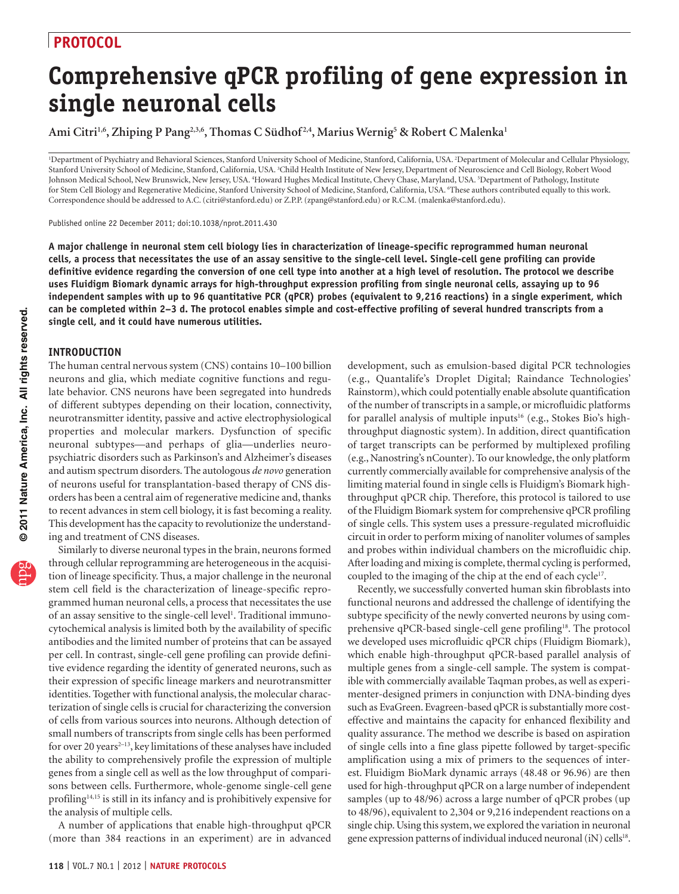# **Comprehensive qPCR profiling of gene expression in single neuronal cells**

**Ami Citri1,6 , Zhiping P Pang2,3,6 , Thomas C Südhof 2,4 , Marius Wernig5 & Robert C Malenka1**

1 Department of Psychiatry and Behavioral Sciences, Stanford University School of Medicine, Stanford, California, USA. 2 Department of Molecular and Cellular Physiology, Stanford University School of Medicine, Stanford, California, USA. <sup>3</sup>Child Health Institute of New Jersey, Department of Neuroscience and Cell Biology, Robert Wood Johnson Medical School, New Brunswick, New Jersey, USA. 'Howard Hughes Medical Institute, Chevy Chase, Maryland, USA. 'Department of Pathology, Institute for Stem Cell Biology and Regenerative Medicine, Stanford University School of Medicine, Stanford, California, USA. 6 These authors contributed equally to this work. Correspondence should be addressed to A.C. (citri@stanford.edu) or Z.P.P. (zpang@stanford.edu) or R.C.M. (malenka@stanford.edu).

Published online 22 December 2011; doi:10.1038/nprot.2011.430

**A major challenge in neuronal stem cell biology lies in characterization of lineage-specific reprogrammed human neuronal cells, a process that necessitates the use of an assay sensitive to the single-cell level. Single-cell gene profiling can provide definitive evidence regarding the conversion of one cell type into another at a high level of resolution. The protocol we describe uses Fluidigm Biomark dynamic arrays for high-throughput expression profiling from single neuronal cells, assaying up to 96 independent samples with up to 96 quantitative PCR (qPCR) probes (equivalent to 9,216 reactions) in a single experiment, which can be completed within 2–3 d. The protocol enables simple and cost-effective profiling of several hundred transcripts from a single cell, and it could have numerous utilities.**

### **INTRODUCTION**

The human central nervous system (CNS) contains 10–100 billion neurons and glia, which mediate cognitive functions and regulate behavior. CNS neurons have been segregated into hundreds of different subtypes depending on their location, connectivity, neurotransmitter identity, passive and active electrophysiological properties and molecular markers. Dysfunction of specific neuronal subtypes—and perhaps of glia—underlies neuropsychiatric disorders such as Parkinson's and Alzheimer's diseases and autism spectrum disorders. The autologous *de novo* generation of neurons useful for transplantation-based therapy of CNS disorders has been a central aim of regenerative medicine and, thanks to recent advances in stem cell biology, it is fast becoming a reality. This development has the capacity to revolutionize the understanding and treatment of CNS diseases.

Similarly to diverse neuronal types in the brain, neurons formed through cellular reprogramming are heterogeneous in the acquisition of lineage specificity. Thus, a major challenge in the neuronal stem cell field is the characterization of lineage-specific reprogrammed human neuronal cells, a process that necessitates the use of an assay sensitive to the single-cell level<sup>[1](#page-8-0)</sup>. Traditional immunocytochemical analysis is limited both by the availability of specific antibodies and the limited number of proteins that can be assayed per cell. In contrast, single-cell gene profiling can provide definitive evidence regarding the identity of generated neurons, such as their expression of specific lineage markers and neurotransmitter identities. Together with functional analysis, the molecular characterization of single cells is crucial for characterizing the conversion of cells from various sources into neurons. Although detection of small numbers of transcripts from single cells has been performed for over 20 years<sup>2-13</sup>, key limitations of these analyses have included the ability to comprehensively profile the expression of multiple genes from a single cell as well as the low throughput of comparisons between cells. Furthermore, whole-genome single-cell gene profiling<sup>[14,15](#page-9-0)</sup> is still in its infancy and is prohibitively expensive for the analysis of multiple cells.

A number of applications that enable high-throughput qPCR (more than 384 reactions in an experiment) are in advanced

(e.g., Quantalife's Droplet Digital; Raindance Technologies' Rainstorm), which could potentially enable absolute quantification of the number of transcripts in a sample, or microfluidic platforms for parallel analysis of multiple inputs<sup>[16](#page-9-1)</sup> (e.g., Stokes Bio's highthroughput diagnostic system). In addition, direct quantification of target transcripts can be performed by multiplexed profiling (e.g., Nanostring's nCounter). To our knowledge, the only platform currently commercially available for comprehensive analysis of the limiting material found in single cells is Fluidigm's Biomark highthroughput qPCR chip. Therefore, this protocol is tailored to use of the Fluidigm Biomark system for comprehensive qPCR profiling of single cells. This system uses a pressure-regulated microfluidic circuit in order to perform mixing of nanoliter volumes of samples and probes within individual chambers on the microfluidic chip. After loading and mixing is complete, thermal cycling is performed, coupled to the imaging of the chip at the end of each cycle<sup>17</sup>.

development, such as emulsion-based digital PCR technologies

Recently, we successfully converted human skin fibroblasts into functional neurons and addressed the challenge of identifying the subtype specificity of the newly converted neurons by using com-prehensive qPCR-based single-cell gene profiling<sup>[18](#page-9-3)</sup>. The protocol we developed uses microfluidic qPCR chips (Fluidigm Biomark), which enable high-throughput qPCR-based parallel analysis of multiple genes from a single-cell sample. The system is compatible with commercially available Taqman probes, as well as experimenter-designed primers in conjunction with DNA-binding dyes such as EvaGreen. Evagreen-based qPCR is substantially more costeffective and maintains the capacity for enhanced flexibility and quality assurance. The method we describe is based on aspiration of single cells into a fine glass pipette followed by target-specific amplification using a mix of primers to the sequences of interest. Fluidigm BioMark dynamic arrays (48.48 or 96.96) are then used for high-throughput qPCR on a large number of independent samples (up to 48/96) across a large number of qPCR probes (up to 48/96), equivalent to 2,304 or 9,216 independent reactions on a single chip. Using this system, we explored the variation in neuronal gene expression patterns of individual induced neuronal (iN) cells<sup>18</sup>.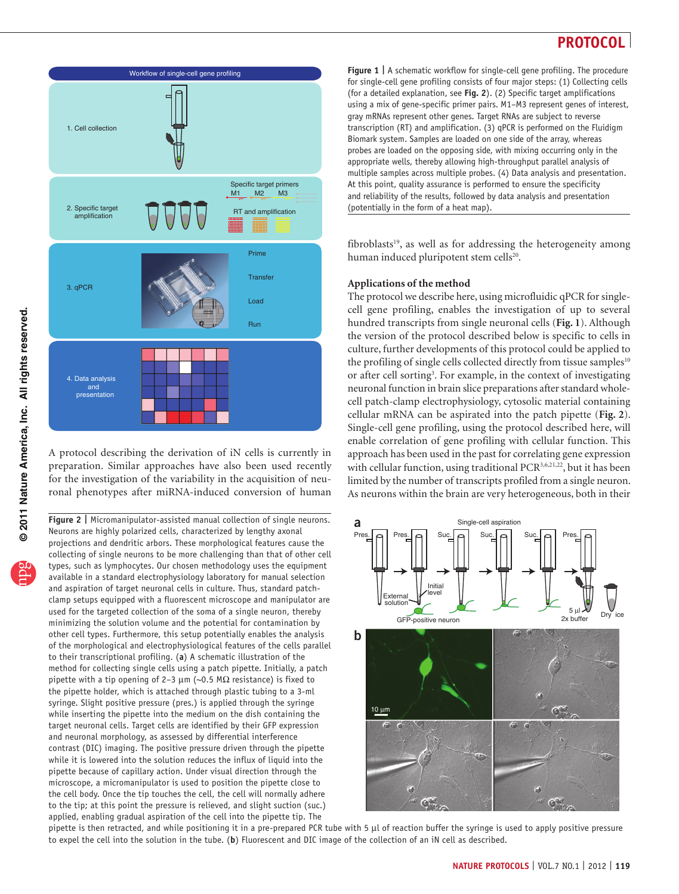

A protocol describing the derivation of iN cells is currently in preparation. Similar approaches have also been used recently for the investigation of the variability in the acquisition of neuronal phenotypes after miRNA-induced conversion of human

<span id="page-1-1"></span>**Figure 2 |** Micromanipulator-assisted manual collection of single neurons. Neurons are highly polarized cells, characterized by lengthy axonal projections and dendritic arbors. These morphological features cause the collecting of single neurons to be more challenging than that of other cell types, such as lymphocytes. Our chosen methodology uses the equipment available in a standard electrophysiology laboratory for manual selection and aspiration of target neuronal cells in culture. Thus, standard patchclamp setups equipped with a fluorescent microscope and manipulator are used for the targeted collection of the soma of a single neuron, thereby minimizing the solution volume and the potential for contamination by other cell types. Furthermore, this setup potentially enables the analysis of the morphological and electrophysiological features of the cells parallel to their transcriptional profiling. (**a**) A schematic illustration of the method for collecting single cells using a patch pipette. Initially, a patch pipette with a tip opening of 2–3  $\mu$ m (~0.5 M $\Omega$  resistance) is fixed to the pipette holder, which is attached through plastic tubing to a 3-ml syringe. Slight positive pressure (pres.) is applied through the syringe while inserting the pipette into the medium on the dish containing the target neuronal cells. Target cells are identified by their GFP expression and neuronal morphology, as assessed by differential interference contrast (DIC) imaging. The positive pressure driven through the pipette while it is lowered into the solution reduces the influx of liquid into the pipette because of capillary action. Under visual direction through the microscope, a micromanipulator is used to position the pipette close to the cell body. Once the tip touches the cell, the cell will normally adhere to the tip; at this point the pressure is relieved, and slight suction (suc.) applied, enabling gradual aspiration of the cell into the pipette tip. The

<span id="page-1-0"></span>**Figure 1 |** A schematic workflow for single-cell gene profiling. The procedure for single-cell gene profiling consists of four major steps: (1) Collecting cells (for a detailed explanation, see **[Fig. 2](#page-1-1)**). (2) Specific target amplifications using a mix of gene-specific primer pairs. M1–M3 represent genes of interest, gray mRNAs represent other genes. Target RNAs are subject to reverse transcription (RT) and amplification. (3) qPCR is performed on the Fluidigm Biomark system. Samples are loaded on one side of the array, whereas probes are loaded on the opposing side, with mixing occurring only in the appropriate wells, thereby allowing high-throughput parallel analysis of multiple samples across multiple probes. (4) Data analysis and presentation. At this point, quality assurance is performed to ensure the specificity and reliability of the results, followed by data analysis and presentation (potentially in the form of a heat map).

fibroblasts<sup>19</sup>, as well as for addressing the heterogeneity among human induced pluripotent stem cells<sup>20</sup>.

### **Applications of the method**

The protocol we describe here, using microfluidic qPCR for single-cell gene profiling, enables the investigation of up to several hundred transcripts from single neuronal cells (**[Fig. 1](#page-1-0)**). Although the version of the protocol described below is specific to cells in culture, further developments of this protocol could be applied to the profiling of single cells collected directly from tissue samples<sup>10</sup> or after cell sorting<sup>3</sup>. For example, in the context of investigating neuronal function in brain slice preparations after standard wholecell patch-clamp electrophysiology, cytosolic material containing cellular mRNA can be aspirated into the patch pipette (**[Fig. 2](#page-1-1)**). Single-cell gene profiling, using the protocol described here, will enable correlation of gene profiling with cellular function. This approach has been used in the past for correlating gene expression with cellular function, using traditional PCR<sup>3,6,21,22</sup>, but it has been limited by the number of transcripts profiled from a single neuron. As neurons within the brain are very heterogeneous, both in their



pipette is then retracted, and while positioning it in a pre-prepared PCR tube with 5 µl of reaction buffer the syringe is used to apply positive pressure to expel the cell into the solution in the tube. (**b**) Fluorescent and DIC image of the collection of an iN cell as described.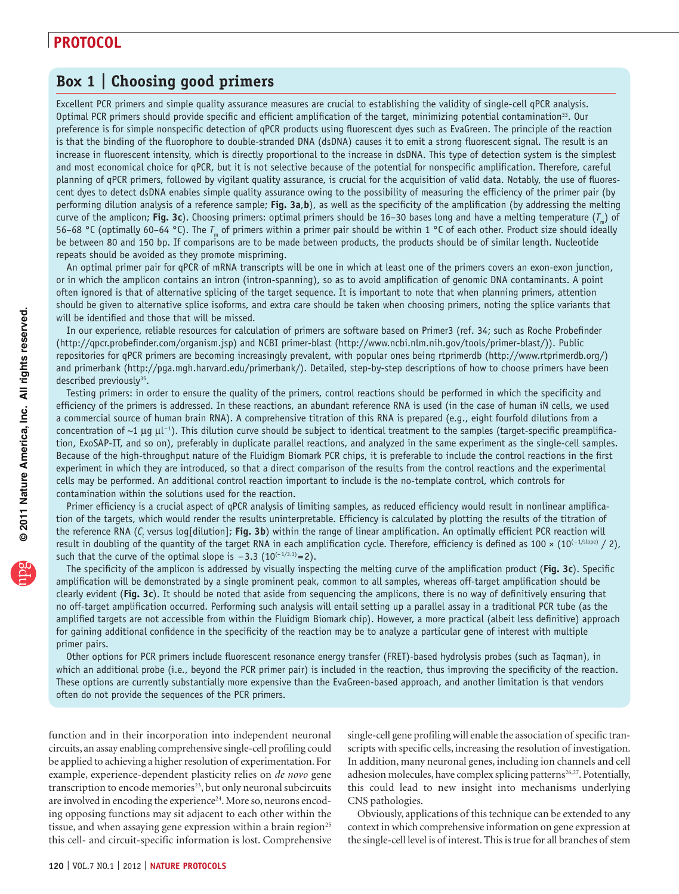### <span id="page-2-0"></span>**Box 1 | Choosing good primers**

Excellent PCR primers and simple quality assurance measures are crucial to establishing the validity of single-cell qPCR analysis. Optimal PCR primers should provide specific and efficient amplification of the target, minimizing potential contamination<sup>[33](#page-9-10)</sup>. Our preference is for simple nonspecific detection of qPCR products using fluorescent dyes such as EvaGreen. The principle of the reaction is that the binding of the fluorophore to double-stranded DNA (dsDNA) causes it to emit a strong fluorescent signal. The result is an increase in fluorescent intensity, which is directly proportional to the increase in dsDNA. This type of detection system is the simplest and most economical choice for qPCR, but it is not selective because of the potential for nonspecific amplification. Therefore, careful planning of qPCR primers, followed by vigilant quality assurance, is crucial for the acquisition of valid data. Notably, the use of fluorescent dyes to detect dsDNA enables simple quality assurance owing to the possibility of measuring the efficiency of the primer pair (by performing dilution analysis of a reference sample; **[Fig. 3a](#page-3-0)**,**b**), as well as the specificity of the amplification (by addressing the melting curve of the amplicon; [Fig. 3c](#page-3-0)). Choosing primers: optimal primers should be 16–30 bases long and have a melting temperature (*T*<sub>m</sub>) of 56–68 °C (optimally 60–64 °C). The *T*<sub>m</sub> of primers within a primer pair should be within 1 °C of each other. Product size should ideally be between 80 and 150 bp. If comparisons are to be made between products, the products should be of similar length. Nucleotide repeats should be avoided as they promote mispriming.

An optimal primer pair for qPCR of mRNA transcripts will be one in which at least one of the primers covers an exon-exon junction, or in which the amplicon contains an intron (intron-spanning), so as to avoid amplification of genomic DNA contaminants. A point often ignored is that of alternative splicing of the target sequence. It is important to note that when planning primers, attention should be given to alternative splice isoforms, and extra care should be taken when choosing primers, noting the splice variants that will be identified and those that will be missed.

In our experience, reliable resources for calculation of primers are software based on Primer3 (ref. 34; such as Roche Probefinder (http://qpcr.probefinder.com/organism.jsp) and NCBI primer-blast (http://www.ncbi.nlm.nih.gov/tools/primer-blast/)). Public repositories for qPCR primers are becoming increasingly prevalent, with popular ones being rtprimerdb (http://www.rtprimerdb.org/) and primerbank (http://pga.mgh.harvard.edu/primerbank/). Detailed, step-by-step descriptions of how to choose primers have been described previously<sup>[35](#page-9-11)</sup>.

Testing primers: in order to ensure the quality of the primers, control reactions should be performed in which the specificity and efficiency of the primers is addressed. In these reactions, an abundant reference RNA is used (in the case of human iN cells, we used a commercial source of human brain RNA). A comprehensive titration of this RNA is prepared (e.g., eight fourfold dilutions from a concentration of ~1 μg μl<sup>-1</sup>). This dilution curve should be subject to identical treatment to the samples (target-specific preamplification, ExoSAP-IT, and so on), preferably in duplicate parallel reactions, and analyzed in the same experiment as the single-cell samples. Because of the high-throughput nature of the Fluidigm Biomark PCR chips, it is preferable to include the control reactions in the first experiment in which they are introduced, so that a direct comparison of the results from the control reactions and the experimental cells may be performed. An additional control reaction important to include is the no-template control, which controls for contamination within the solutions used for the reaction.

Primer efficiency is a crucial aspect of qPCR analysis of limiting samples, as reduced efficiency would result in nonlinear amplification of the targets, which would render the results uninterpretable. Efficiency is calculated by plotting the results of the titration of the reference RNA (C<sub>t</sub> versus log[dilution]; **[Fig. 3b](#page-3-0)**) within the range of linear amplification. An optimally efficient PCR reaction will result in doubling of the quantity of the target RNA in each amplification cycle. Therefore, efficiency is defined as  $100 \times (10^{(-1/\text{slope})}/2)$ , such that the curve of the optimal slope is  $-3.3$  (10<sup> $(-1/3.3)$ </sup> = 2).

The specificity of the amplicon is addressed by visually inspecting the melting curve of the amplification product (**[Fig. 3c](#page-3-0)**). Specific amplification will be demonstrated by a single prominent peak, common to all samples, whereas off-target amplification should be clearly evident (**[Fig. 3c](#page-3-0)**). It should be noted that aside from sequencing the amplicons, there is no way of definitively ensuring that no off-target amplification occurred. Performing such analysis will entail setting up a parallel assay in a traditional PCR tube (as the amplified targets are not accessible from within the Fluidigm Biomark chip). However, a more practical (albeit less definitive) approach for gaining additional confidence in the specificity of the reaction may be to analyze a particular gene of interest with multiple primer pairs.

Other options for PCR primers include fluorescent resonance energy transfer (FRET)-based hydrolysis probes (such as Taqman), in which an additional probe (i.e., beyond the PCR primer pair) is included in the reaction, thus improving the specificity of the reaction. These options are currently substantially more expensive than the EvaGreen-based approach, and another limitation is that vendors often do not provide the sequences of the PCR primers.

function and in their incorporation into independent neuronal circuits, an assay enabling comprehensive single-cell profiling could be applied to achieving a higher resolution of experimentation. For example, experience-dependent plasticity relies on *de novo* gene transcription to encode memories<sup>23</sup>, but only neuronal subcircuits are involved in encoding the experience<sup>[24](#page-9-7)</sup>. More so, neurons encoding opposing functions may sit adjacent to each other within the tissue, and when assaying gene expression within a brain region<sup>[25](#page-9-8)</sup> this cell- and circuit-specific information is lost. Comprehensive

single-cell gene profiling will enable the association of specific transcripts with specific cells, increasing the resolution of investigation. In addition, many neuronal genes, including ion channels and cell adhesion molecules, have complex splicing patterns<sup>[26,27](#page-9-9)</sup>. Potentially, this could lead to new insight into mechanisms underlying CNS pathologies.

Obviously, applications of this technique can be extended to any context in which comprehensive information on gene expression at the single-cell level is of interest. This is true for all branches of stem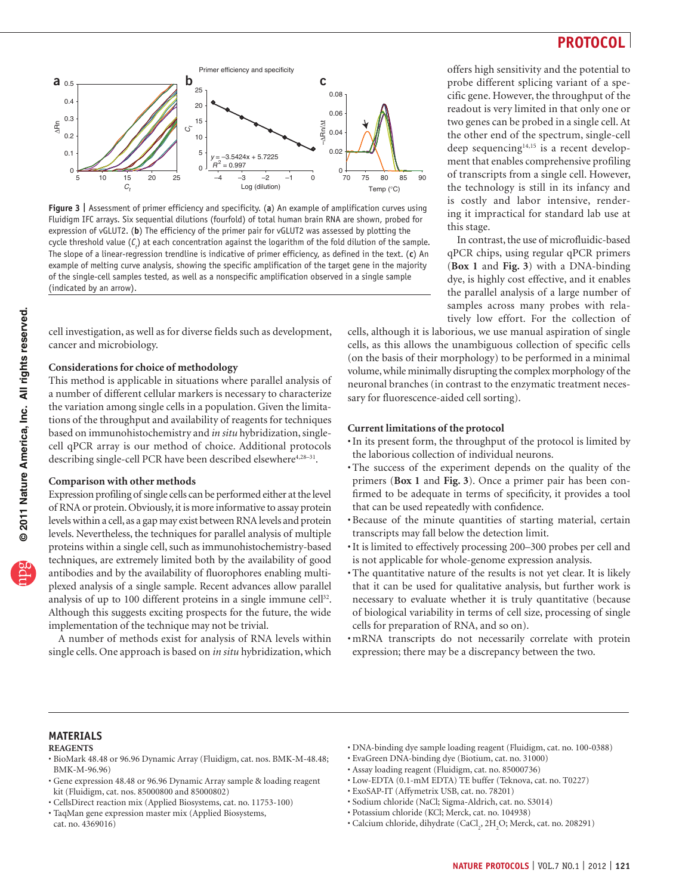

<span id="page-3-0"></span>**Figure 3 |** Assessment of primer efficiency and specificity. (**a**) An example of amplification curves using Fluidigm IFC arrays. Six sequential dilutions (fourfold) of total human brain RNA are shown, probed for expression of vGLUT2. (**b**) The efficiency of the primer pair for vGLUT2 was assessed by plotting the cycle threshold value (C<sub>t</sub>) at each concentration against the logarithm of the fold dilution of the sample. The slope of a linear-regression trendline is indicative of primer efficiency, as defined in the text. (**c**) An example of melting curve analysis, showing the specific amplification of the target gene in the majority of the single-cell samples tested, as well as a nonspecific amplification observed in a single sample (indicated by an arrow).

cell investigation, as well as for diverse fields such as development, cancer and microbiology.

### **Considerations for choice of methodology**

This method is applicable in situations where parallel analysis of a number of different cellular markers is necessary to characterize the variation among single cells in a population. Given the limitations of the throughput and availability of reagents for techniques based on immunohistochemistry and *in situ* hybridization, singlecell qPCR array is our method of choice. Additional protocols describing single-cell PCR have been described elsewhere<sup>4,28-31</sup>.

### **Comparison with other methods**

Expression profiling of single cells can be performed either at the level of RNA or protein. Obviously, it is more informative to assay protein levels within a cell, as a gap may exist between RNA levels and protein levels. Nevertheless, the techniques for parallel analysis of multiple proteins within a single cell, such as immunohistochemistry-based techniques, are extremely limited both by the availability of good antibodies and by the availability of fluorophores enabling multiplexed analysis of a single sample. Recent advances allow parallel analysis of up to 100 different proteins in a single immune cell<sup>[32](#page-9-12)</sup>. Although this suggests exciting prospects for the future, the wide implementation of the technique may not be trivial.

A number of methods exist for analysis of RNA levels within single cells. One approach is based on *in situ* hybridization, which offers high sensitivity and the potential to probe different splicing variant of a specific gene. However, the throughput of the readout is very limited in that only one or two genes can be probed in a single cell. At the other end of the spectrum, single-cell deep sequencing<sup>[14,15](#page-9-13)</sup> is a recent development that enables comprehensive profiling of transcripts from a single cell. However, the technology is still in its infancy and is costly and labor intensive, rendering it impractical for standard lab use at this stage.

In contrast, the use of microfluidic-based qPCR chips, using regular qPCR primers (**[Box 1](#page-2-0)** and **[Fig. 3](#page-3-0)**) with a DNA-binding dye, is highly cost effective, and it enables the parallel analysis of a large number of samples across many probes with relatively low effort. For the collection of

cells, although it is laborious, we use manual aspiration of single cells, as this allows the unambiguous collection of specific cells (on the basis of their morphology) to be performed in a minimal volume, while minimally disrupting the complex morphology of the neuronal branches (in contrast to the enzymatic treatment necessary for fluorescence-aided cell sorting).

### **Current limitations of the protocol**

- In its present form, the throughput of the protocol is limited by the laborious collection of individual neurons.
- The success of the experiment depends on the quality of the primers (**[Box 1](#page-2-0)** and **[Fig. 3](#page-3-0)**). Once a primer pair has been confirmed to be adequate in terms of specificity, it provides a tool that can be used repeatedly with confidence.
- Because of the minute quantities of starting material, certain transcripts may fall below the detection limit.
- It is limited to effectively processing 200-300 probes per cell and is not applicable for whole-genome expression analysis.
- The quantitative nature of the results is not yet clear. It is likely that it can be used for qualitative analysis, but further work is necessary to evaluate whether it is truly quantitative (because of biological variability in terms of cell size, processing of single cells for preparation of RNA, and so on).
- mRNA transcripts do not necessarily correlate with protein expression; there may be a discrepancy between the two.

### **REAGENTS**

- BioMark 48.48 or 96.96 Dynamic Array (Fluidigm, cat. nos. BMK-M-48.48; BMK-M-96.96)
- Gene expression 48.48 or 96.96 Dynamic Array sample & loading reagent kit (Fluidigm, cat. nos. 85000800 and 85000802)
- CellsDirect reaction mix (Applied Biosystems, cat. no. 11753-100) •
- TaqMan gene expression master mix (Applied Biosystems, cat. no. 4369016)
- DNA-binding dye sample loading reagent (Fluidigm, cat. no. 100-0388) •
- EvaGreen DNA-binding dye (Biotium, cat. no. 31000) •
- Assay loading reagent (Fluidigm, cat. no. 85000736) •
- Low-EDTA (0.1-mM EDTA) TE buffer (Teknova, cat. no. T0227) •
- ExoSAP-IT (Affymetrix USB, cat. no. 78201) •
- · Sodium chloride (NaCl; Sigma-Aldrich, cat. no. S3014)
- Potassium chloride (KCl; Merck, cat. no. 104938) •
- Calcium chloride, dihydrate  $(CaCl<sub>2</sub>, 2H<sub>2</sub>O; Merck, cat.$  no. 208291)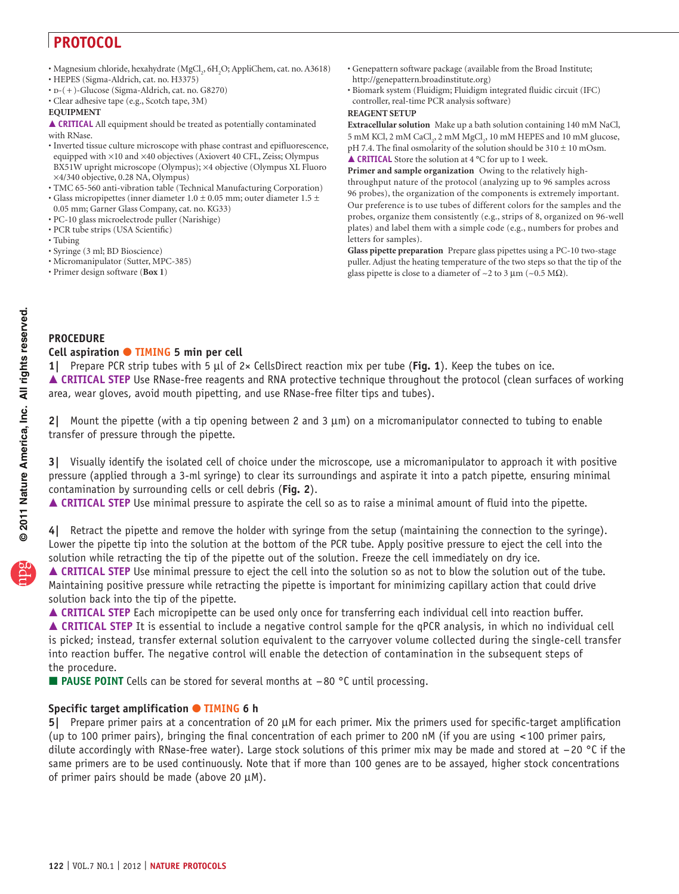- Magnesium chloride, hexahydrate  $(MgCl<sub>2</sub>, 6H<sub>2</sub>O; AppliChem, cat.$  no. A3618)
- HEPES (Sigma-Aldrich, cat. no. H3375) •
- p-(+)-Glucose (Sigma-Aldrich, cat. no. G8270)
- Clear adhesive tape (e.g., Scotch tape, 3M) •

### **EQUIPMENT**

 **CRITICAL** All equipment should be treated as potentially contaminated with RNase.

- · Inverted tissue culture microscope with phase contrast and epifluorescence, equipped with ×10 and ×40 objectives (Axiovert 40 CFL, Zeiss; Olympus BX51W upright microscope (Olympus); ×4 objective (Olympus XL Fluoro ×4/340 objective, 0.28 NA, Olympus)
- TMC 65-560 anti-vibration table (Technical Manufacturing Corporation) •
- Glass micropipettes (inner diameter  $1.0 \pm 0.05$  mm; outer diameter  $1.5 \pm$ 0.05 mm; Garner Glass Company, cat. no. KG33)
- PC-10 glass microelectrode puller (Narishige) •
- PCR tube strips (USA Scientific) •
- Tubing •
- Syringe (3 ml; BD Bioscience) •
- Micromanipulator (Sutter, MPC-385)
- Primer design software (**[Box 1](#page-2-0)**) •
- Genepattern software package (available from the Broad Institute; http://genepattern.broadinstitute.org)
- Biomark system (Fluidigm; Fluidigm integrated fluidic circuit (IFC) controller, real-time PCR analysis software)

### **REAGENT SETUP**

**Extracellular solution** Make up a bath solution containing 140 mM NaCl, 5 mM KCl, 2 mM  $\text{CaCl}_{2}$ , 2 mM  $\text{MgCl}_{2}$ , 10 mM HEPES and 10 mM glucose, pH 7.4. The final osmolarity of the solution should be  $310 \pm 10$  mOsm. **△ CRITICAL** Store the solution at 4 °C for up to 1 week.

**Primer and sample organization** Owing to the relatively highthroughput nature of the protocol (analyzing up to 96 samples across 96 probes), the organization of the components is extremely important. Our preference is to use tubes of different colors for the samples and the probes, organize them consistently (e.g., strips of 8, organized on 96-well plates) and label them with a simple code (e.g., numbers for probes and letters for samples).

**Glass pipette preparation** Prepare glass pipettes using a PC-10 two-stage puller. Adjust the heating temperature of the two steps so that the tip of the glass pipette is close to a diameter of ~2 to 3  $\mu$ m (~0.5 M $\Omega$ ).

# © 2011 Nature America, Inc. All rights reserved. **© 2011 Nature America, Inc. All rights reserved.**

**PROCEDURE**

### **Cell aspiration** ● **TIMING 5 min per cell**

**1|** Prepare PCR strip tubes with 5 µl of 2× CellsDirect reaction mix per tube (**[Fig. 1](#page-1-0)**). Keep the tubes on ice. ■ CRITICAL STEP Use RNase-free reagents and RNA protective technique throughout the protocol (clean surfaces of working area, wear gloves, avoid mouth pipetting, and use RNase-free filter tips and tubes).

**2|** Mount the pipette (with a tip opening between 2 and 3 µm) on a micromanipulator connected to tubing to enable transfer of pressure through the pipette.

**3|** Visually identify the isolated cell of choice under the microscope, use a micromanipulator to approach it with positive pressure (applied through a 3-ml syringe) to clear its surroundings and aspirate it into a patch pipette, ensuring minimal contamination by surrounding cells or cell debris (**[Fig.](#page-1-0) 2**).

**CRITICAL STEP** Use minimal pressure to aspirate the cell so as to raise a minimal amount of fluid into the pipette.

**4|** Retract the pipette and remove the holder with syringe from the setup (maintaining the connection to the syringe). Lower the pipette tip into the solution at the bottom of the PCR tube. Apply positive pressure to eject the cell into the solution while retracting the tip of the pipette out of the solution. Freeze the cell immediately on dry ice.

 **CRITICAL STEP** Use minimal pressure to eject the cell into the solution so as not to blow the solution out of the tube. Maintaining positive pressure while retracting the pipette is important for minimizing capillary action that could drive solution back into the tip of the pipette.

**CRITICAL STEP** Each micropipette can be used only once for transferring each individual cell into reaction buffer.

 **CRITICAL STEP** It is essential to include a negative control sample for the qPCR analysis, in which no individual cell is picked; instead, transfer external solution equivalent to the carryover volume collected during the single-cell transfer into reaction buffer. The negative control will enable the detection of contamination in the subsequent steps of the procedure.

■ **PAUSE POINT** Cells can be stored for several months at −80 °C until processing.

### **Specific target amplification ● TIMING 6 h**

**5|** Prepare primer pairs at a concentration of 20 µM for each primer. Mix the primers used for specific-target amplification (up to 100 primer pairs), bringing the final concentration of each primer to 200 nM (if you are using < 100 primer pairs, dilute accordingly with RNase-free water). Large stock solutions of this primer mix may be made and stored at −20 °C if the same primers are to be used continuously. Note that if more than 100 genes are to be assayed, higher stock concentrations of primer pairs should be made (above 20  $\mu$ M).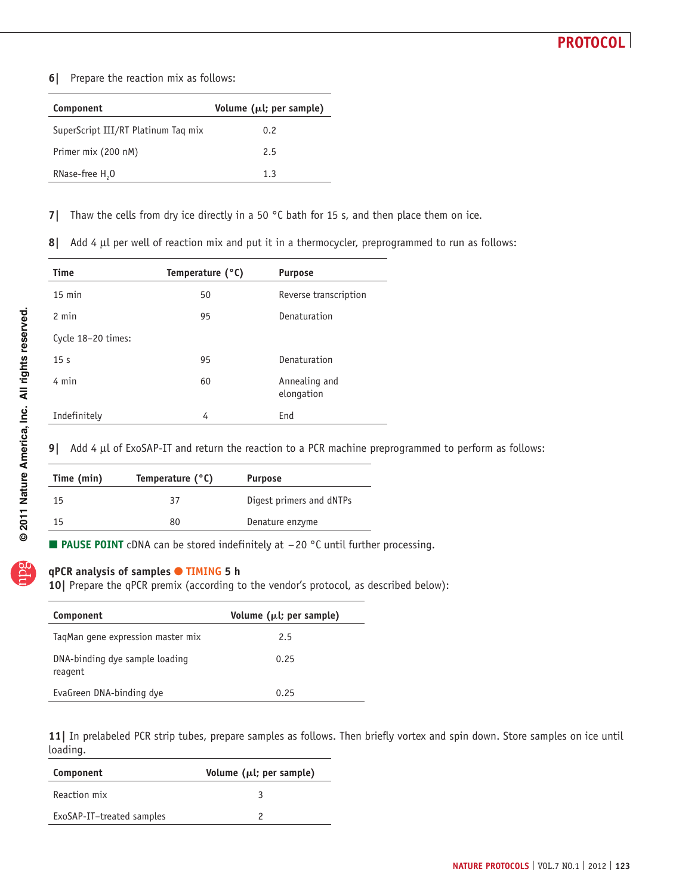### **6|** Prepare the reaction mix as follows:

| Component                           | Volume $(\mu l;$ per sample) |
|-------------------------------------|------------------------------|
| SuperScript III/RT Platinum Tag mix | 0.2                          |
| Primer mix (200 nM)                 | 2.5                          |
| RNase-free H <sub>2</sub> 0         | 13                           |

**7|** Thaw the cells from dry ice directly in a 50 °C bath for 15 s, and then place them on ice.

|  | $8$   Add 4 $\mu$ l per well of reaction mix and put it in a thermocycler, preprogrammed to run as follows: |  |  |  |  |  |  |
|--|-------------------------------------------------------------------------------------------------------------|--|--|--|--|--|--|
|--|-------------------------------------------------------------------------------------------------------------|--|--|--|--|--|--|

| <b>Time</b>        | Temperature (°C) | <b>Purpose</b>              |
|--------------------|------------------|-----------------------------|
| $15$ min           | 50               | Reverse transcription       |
| 2 min              | 95               | Denaturation                |
| Cycle 18-20 times: |                  |                             |
| 15 <sub>s</sub>    | 95               | Denaturation                |
| 4 min              | 60               | Annealing and<br>elongation |
| Indefinitely       | 4                | End                         |

**9|** Add 4 µl of ExoSAP-IT and return the reaction to a PCR machine preprogrammed to perform as follows:

| Time (min) | Temperature $(°C)$ | <b>Purpose</b>           |
|------------|--------------------|--------------------------|
| 15         | 37                 | Digest primers and dNTPs |
| 15         | 80                 | Denature enzyme          |

■ **PAUSE POINT** cDNA can be stored indefinitely at -20 °C until further processing.

### **qPCR analysis of samples ● TIMING 5 h**

**10|** Prepare the qPCR premix (according to the vendor's protocol, as described below):

| Component                                 | Volume $(\mu l;$ per sample) |
|-------------------------------------------|------------------------------|
| TagMan gene expression master mix         | 2.5                          |
| DNA-binding dye sample loading<br>reagent | 0.25                         |
| EvaGreen DNA-binding dye                  | 0.25                         |

**11|** In prelabeled PCR strip tubes, prepare samples as follows. Then briefly vortex and spin down. Store samples on ice until loading.

| Component                 | Volume $(\mu l;$ per sample) |
|---------------------------|------------------------------|
| Reaction mix              |                              |
| ExoSAP-IT-treated samples |                              |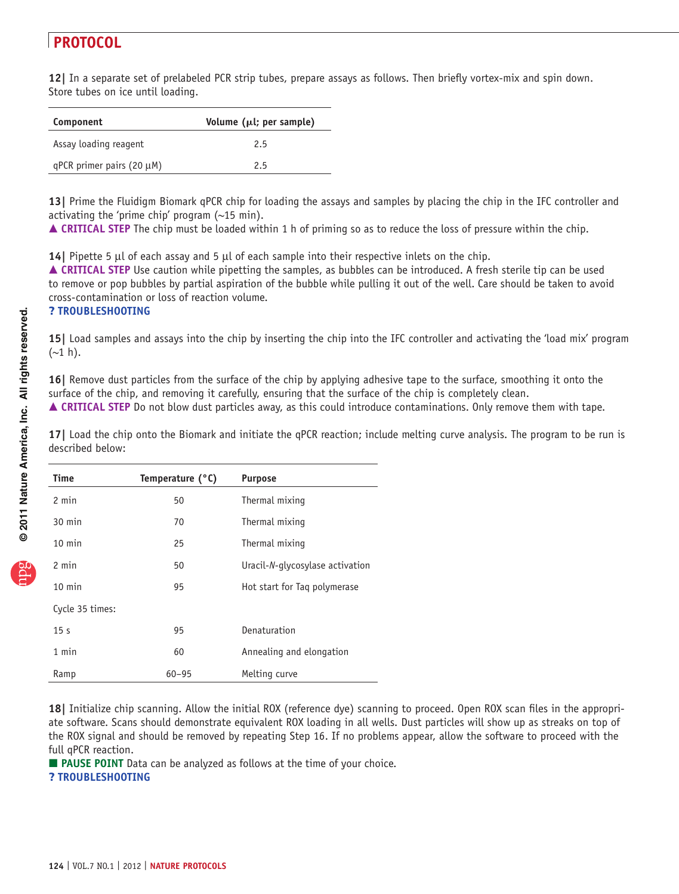**12|** In a separate set of prelabeled PCR strip tubes, prepare assays as follows. Then briefly vortex-mix and spin down. Store tubes on ice until loading.

| Component                        | Volume $(\mu l;$ per sample) |
|----------------------------------|------------------------------|
| Assay loading reagent            | 2.5                          |
| $qPCR$ primer pairs (20 $\mu$ M) | 2.5                          |

**13|** Prime the Fluidigm Biomark qPCR chip for loading the assays and samples by placing the chip in the IFC controller and activating the 'prime chip' program  $(\sim 15$  min).

**CRITICAL STEP** The chip must be loaded within 1 h of priming so as to reduce the loss of pressure within the chip.

**14|** Pipette 5 µl of each assay and 5 µl of each sample into their respective inlets on the chip.

■ CRITICAL STEP Use caution while pipetting the samples, as bubbles can be introduced. A fresh sterile tip can be used to remove or pop bubbles by partial aspiration of the bubble while pulling it out of the well. Care should be taken to avoid cross-contamination or loss of reaction volume.

### ? **TROUBLESHOOTING**

**15|** Load samples and assays into the chip by inserting the chip into the IFC controller and activating the 'load mix' program  $({\sim}1 \; h).$ 

**16|** Remove dust particles from the surface of the chip by applying adhesive tape to the surface, smoothing it onto the surface of the chip, and removing it carefully, ensuring that the surface of the chip is completely clean.

**△ CRITICAL STEP** Do not blow dust particles away, as this could introduce contaminations. Only remove them with tape.

**17|** Load the chip onto the Biomark and initiate the qPCR reaction; include melting curve analysis. The program to be run is described below:

| Time            | Temperature $(°C)$ | <b>Purpose</b>                  |
|-----------------|--------------------|---------------------------------|
| $2$ min         | 50                 | Thermal mixing                  |
| $30$ min        | 70                 | Thermal mixing                  |
| $10$ min        | 25                 | Thermal mixing                  |
| $2 \text{ min}$ | 50                 | Uracil-N-glycosylase activation |
| $10$ min        | 95                 | Hot start for Tag polymerase    |
| Cycle 35 times: |                    |                                 |
| 15 <sub>s</sub> | 95                 | Denaturation                    |
| $1$ min         | 60                 | Annealing and elongation        |
| Ramp            | $60 - 95$          | Melting curve                   |

**18|** Initialize chip scanning. Allow the initial ROX (reference dye) scanning to proceed. Open ROX scan files in the appropriate software. Scans should demonstrate equivalent ROX loading in all wells. Dust particles will show up as streaks on top of the ROX signal and should be removed by repeating Step 16. If no problems appear, allow the software to proceed with the full qPCR reaction.

**PAUSE POINT** Data can be analyzed as follows at the time of your choice.

### ? **TROUBLESHOOTING**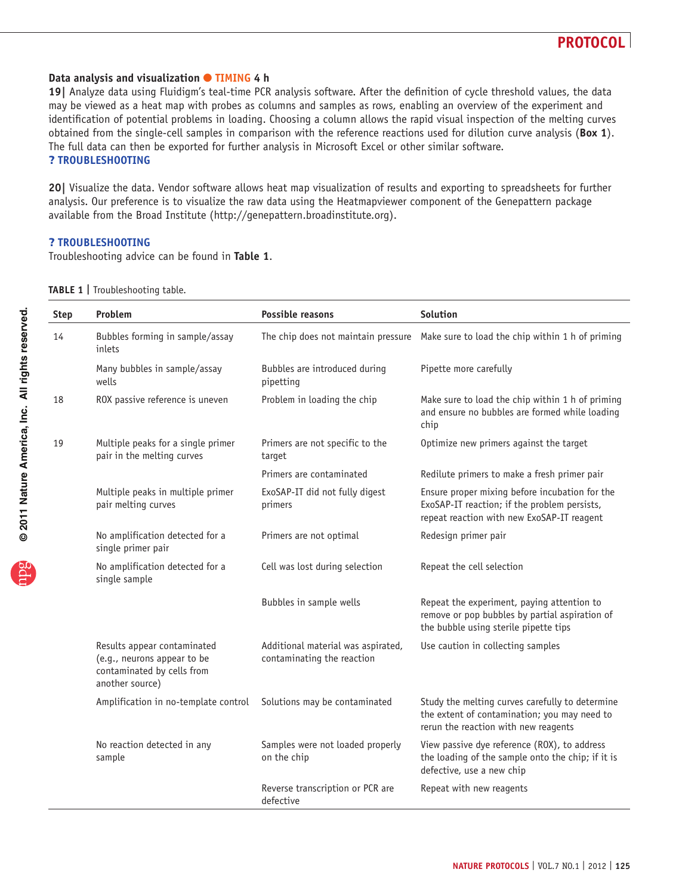### **Data analysis and visualization ● TIMING 4 h**

**19|** Analyze data using Fluidigm's teal-time PCR analysis software. After the definition of cycle threshold values, the data may be viewed as a heat map with probes as columns and samples as rows, enabling an overview of the experiment and identification of potential problems in loading. Choosing a column allows the rapid visual inspection of the melting curves obtained from the single-cell samples in comparison with the reference reactions used for dilution curve analysis (**[Box 1](#page-2-0)**). The full data can then be exported for further analysis in Microsoft Excel or other similar software. ? **TROUBLESHOOTING**

**20|** Visualize the data. Vendor software allows heat map visualization of results and exporting to spreadsheets for further analysis. Our preference is to visualize the raw data using the Heatmapviewer component of the Genepattern package available from the Broad Institute (http://genepattern.broadinstitute.org).

### ? **TROUBLESHOOTING**

Troubleshooting advice can be found in **[Table 1](#page-7-0)**.

<span id="page-7-0"></span>

|  | TABLE 1   Troubleshooting table. |  |
|--|----------------------------------|--|
|--|----------------------------------|--|

| <b>Step</b> | Problem                                                                                                     | <b>Possible reasons</b>                                          | Solution                                                                                                                                     |
|-------------|-------------------------------------------------------------------------------------------------------------|------------------------------------------------------------------|----------------------------------------------------------------------------------------------------------------------------------------------|
| 14          | Bubbles forming in sample/assay<br>inlets                                                                   | The chip does not maintain pressure                              | Make sure to load the chip within 1 h of priming                                                                                             |
|             | Many bubbles in sample/assay<br>wells                                                                       | Bubbles are introduced during<br>pipetting                       | Pipette more carefully                                                                                                                       |
| 18          | ROX passive reference is uneven                                                                             | Problem in loading the chip                                      | Make sure to load the chip within 1 h of priming<br>and ensure no bubbles are formed while loading<br>chip                                   |
| 19          | Multiple peaks for a single primer<br>pair in the melting curves                                            | Primers are not specific to the<br>target                        | Optimize new primers against the target                                                                                                      |
|             |                                                                                                             | Primers are contaminated                                         | Redilute primers to make a fresh primer pair                                                                                                 |
|             | Multiple peaks in multiple primer<br>pair melting curves                                                    | ExoSAP-IT did not fully digest<br>primers                        | Ensure proper mixing before incubation for the<br>ExoSAP-IT reaction; if the problem persists,<br>repeat reaction with new ExoSAP-IT reagent |
|             | No amplification detected for a<br>single primer pair                                                       | Primers are not optimal                                          | Redesign primer pair                                                                                                                         |
|             | No amplification detected for a<br>single sample                                                            | Cell was lost during selection                                   | Repeat the cell selection                                                                                                                    |
|             |                                                                                                             | Bubbles in sample wells                                          | Repeat the experiment, paying attention to<br>remove or pop bubbles by partial aspiration of<br>the bubble using sterile pipette tips        |
|             | Results appear contaminated<br>(e.g., neurons appear to be<br>contaminated by cells from<br>another source) | Additional material was aspirated,<br>contaminating the reaction | Use caution in collecting samples                                                                                                            |
|             | Amplification in no-template control                                                                        | Solutions may be contaminated                                    | Study the melting curves carefully to determine<br>the extent of contamination; you may need to<br>rerun the reaction with new reagents      |
|             | No reaction detected in any<br>sample                                                                       | Samples were not loaded properly<br>on the chip                  | View passive dye reference (ROX), to address<br>the loading of the sample onto the chip; if it is<br>defective, use a new chip               |
|             |                                                                                                             | Reverse transcription or PCR are<br>defective                    | Repeat with new reagents                                                                                                                     |

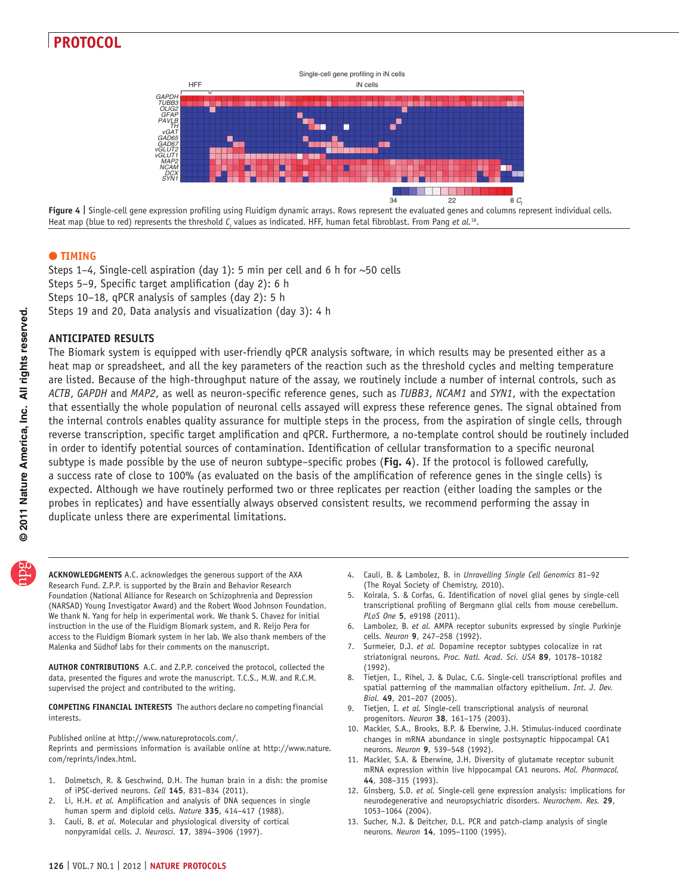

<span id="page-8-5"></span>**Figure 4 |** Single-cell gene expression profiling using Fluidigm dynamic arrays. Rows represent the evaluated genes and columns represent individual cells. Heat map (blue to red) represents the threshold *C<sub>t</sub>* values as indicated. HFF, human fetal fibroblast. From Pang *et al*.<sup>[18](#page-9-14)</sup>.

### ● **TIMING**

Steps 1–4, Single-cell aspiration (day 1): 5 min per cell and 6 h for  $\sim$  50 cells Steps 5–9, Specific target amplification (day 2): 6 h Steps 10–18, qPCR analysis of samples (day 2): 5 h Steps 19 and 20, Data analysis and visualization (day 3): 4 h

### **ANTICIPATED RESULTS**

The Biomark system is equipped with user-friendly qPCR analysis software, in which results may be presented either as a heat map or spreadsheet, and all the key parameters of the reaction such as the threshold cycles and melting temperature are listed. Because of the high-throughput nature of the assay, we routinely include a number of internal controls, such as *ACTB*, *GAPDH* and *MAP2*, as well as neuron-specific reference genes, such as *TUBB3*, *NCAM1* and *SYN1*, with the expectation that essentially the whole population of neuronal cells assayed will express these reference genes. The signal obtained from the internal controls enables quality assurance for multiple steps in the process, from the aspiration of single cells, through reverse transcription, specific target amplification and qPCR. Furthermore, a no-template control should be routinely included in order to identify potential sources of contamination. Identification of cellular transformation to a specific neuronal subtype is made possible by the use of neuron subtype–specific probes (**[Fig. 4](#page-8-5)**). If the protocol is followed carefully, a success rate of close to 100% (as evaluated on the basis of the amplification of reference genes in the single cells) is expected. Although we have routinely performed two or three replicates per reaction (either loading the samples or the probes in replicates) and have essentially always observed consistent results, we recommend performing the assay in duplicate unless there are experimental limitations.

**Acknowledgments** A.C. acknowledges the generous support of the AXA Research Fund. Z.P.P. is supported by the Brain and Behavior Research Foundation (National Alliance for Research on Schizophrenia and Depression (NARSAD) Young Investigator Award) and the Robert Wood Johnson Foundation. We thank N. Yang for help in experimental work. We thank S. Chavez for initial instruction in the use of the Fluidigm Biomark system, and R. Reijo Pera for access to the Fluidigm Biomark system in her lab. We also thank members of the Malenka and Südhof labs for their comments on the manuscript.

**AUTHOR CONTRIBUTIONS** A.C. and Z.P.P. conceived the protocol, collected the data, presented the figures and wrote the manuscript. T.C.S., M.W. and R.C.M. supervised the project and contributed to the writing.

**COMPETING FINANCIAL INTERESTS** The authors declare no competing financial interests.

Published online at<http://www.natureprotocols.com/>.

Reprints and permissions information is available online at [http://www.nature.](http://www.nature.com/reprints/index.html) [com/reprints/index.html](http://www.nature.com/reprints/index.html).

- <span id="page-8-0"></span>1. Dolmetsch, R. & Geschwind, D.H. The human brain in a dish: the promise of iPSC-derived neurons. *Cell* **145**, 831–834 (2011).
- <span id="page-8-1"></span>2. Li, H.H. *et al.* Amplification and analysis of DNA sequences in single human sperm and diploid cells. *Nature* **335**, 414–417 (1988).
- <span id="page-8-3"></span>3. Cauli, B. *et al.* Molecular and physiological diversity of cortical nonpyramidal cells. *J. Neurosci.* **17**, 3894–3906 (1997).
- <span id="page-8-4"></span>4. Cauli, B. & Lambolez, B. in *Unravelling Single Cell Genomics* 81–92 (The Royal Society of Chemistry, 2010).
- 5. Koirala, S. & Corfas, G. Identification of novel glial genes by single-cell transcriptional profiling of Bergmann glial cells from mouse cerebellum. *PLoS One* **5**, e9198 (2011).
- 6. Lambolez, B. *et al.* AMPA receptor subunits expressed by single Purkinje cells. *Neuron* **9**, 247–258 (1992).
- 7. Surmeier, D.J. *et al.* Dopamine receptor subtypes colocalize in rat striatonigral neurons. *Proc. Natl. Acad. Sci. USA* **89**, 10178–10182 (1992).
- 8. Tietjen, I., Rihel, J. & Dulac, C.G. Single-cell transcriptional profiles and spatial patterning of the mammalian olfactory epithelium. *Int. J. Dev. Biol.* **49**, 201–207 (2005).
- 9. Tietjen, I. *et al.* Single-cell transcriptional analysis of neuronal progenitors. *Neuron* **38**, 161–175 (2003).
- <span id="page-8-2"></span>10. Mackler, S.A., Brooks, B.P. & Eberwine, J.H. Stimulus-induced coordinate changes in mRNA abundance in single postsynaptic hippocampal CA1 neurons. *Neuron* **9**, 539–548 (1992).
- 11. Mackler, S.A. & Eberwine, J.H. Diversity of glutamate receptor subunit mRNA expression within live hippocampal CA1 neurons. *Mol. Pharmacol.* **44**, 308–315 (1993).
- 12. Ginsberg, S.D. *et al.* Single-cell gene expression analysis: implications for neurodegenerative and neuropsychiatric disorders. *Neurochem. Res.* **29**, 1053–1064 (2004).
- 13. Sucher, N.J. & Deitcher, D.L. PCR and patch-clamp analysis of single neurons. *Neuron* **14**, 1095–1100 (1995).